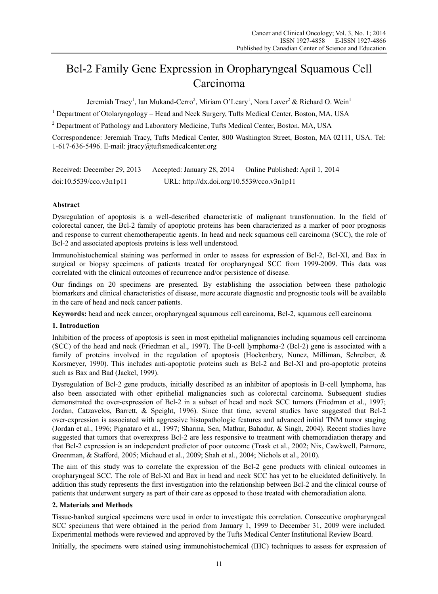# Bcl-2 Family Gene Expression in Oropharyngeal Squamous Cell Carcinoma

Jeremiah Tracy<sup>1</sup>, Ian Mukand-Cerro<sup>2</sup>, Miriam O'Leary<sup>1</sup>, Nora Laver<sup>2</sup> & Richard O. Wein<sup>1</sup>

<sup>1</sup> Department of Otolaryngology - Head and Neck Surgery, Tufts Medical Center, Boston, MA, USA

<sup>2</sup> Department of Pathology and Laboratory Medicine, Tufts Medical Center, Boston, MA, USA

Correspondence: Jeremiah Tracy, Tufts Medical Center, 800 Washington Street, Boston, MA 02111, USA. Tel: 1-617-636-5496. E-mail: jtracy@tuftsmedicalcenter.org

| Received: December 29, 2013 | Accepted: January 28, 2014                 | Online Published: April 1, 2014 |
|-----------------------------|--------------------------------------------|---------------------------------|
| doi:10.5539/cco.v3n1p11     | URL: http://dx.doi.org/10.5539/cco.v3n1p11 |                                 |

## **Abstract**

Dysregulation of apoptosis is a well-described characteristic of malignant transformation. In the field of colorectal cancer, the Bcl-2 family of apoptotic proteins has been characterized as a marker of poor prognosis and response to current chemotherapeutic agents. In head and neck squamous cell carcinoma (SCC), the role of Bcl-2 and associated apoptosis proteins is less well understood.

Immunohistochemical staining was performed in order to assess for expression of Bcl-2, Bcl-Xl, and Bax in surgical or biopsy specimens of patients treated for oropharyngeal SCC from 1999-2009. This data was correlated with the clinical outcomes of recurrence and/or persistence of disease.

Our findings on 20 specimens are presented. By establishing the association between these pathologic biomarkers and clinical characteristics of disease, more accurate diagnostic and prognostic tools will be available in the care of head and neck cancer patients.

**Keywords:** head and neck cancer, oropharyngeal squamous cell carcinoma, Bcl-2, squamous cell carcinoma

### **1. Introduction**

Inhibition of the process of apoptosis is seen in most epithelial malignancies including squamous cell carcinoma (SCC) of the head and neck (Friedman et al., 1997). The B-cell lymphoma-2 (Bcl-2) gene is associated with a family of proteins involved in the regulation of apoptosis (Hockenbery, Nunez, Milliman, Schreiber, & Korsmeyer, 1990). This includes anti-apoptotic proteins such as Bcl-2 and Bcl-Xl and pro-apoptotic proteins such as Bax and Bad (Jackel, 1999).

Dysregulation of Bcl-2 gene products, initially described as an inhibitor of apoptosis in B-cell lymphoma, has also been associated with other epithelial malignancies such as colorectal carcinoma. Subsequent studies demonstrated the over-expression of Bcl-2 in a subset of head and neck SCC tumors (Friedman et al., 1997; Jordan, Catzavelos, Barrett, & Speight, 1996). Since that time, several studies have suggested that Bcl-2 over-expression is associated with aggressive histopathologic features and advanced initial TNM tumor staging (Jordan et al., 1996; Pignataro et al., 1997; Sharma, Sen, Mathur, Bahadur, & Singh, 2004). Recent studies have suggested that tumors that overexpress Bcl-2 are less responsive to treatment with chemoradiation therapy and that Bcl-2 expression is an independent predictor of poor outcome (Trask et al., 2002; Nix, Cawkwell, Patmore, Greenman, & Stafford, 2005; Michaud et al., 2009; Shah et al., 2004; Nichols et al., 2010).

The aim of this study was to correlate the expression of the Bcl-2 gene products with clinical outcomes in oropharyngeal SCC. The role of Bcl-Xl and Bax in head and neck SCC has yet to be elucidated definitively. In addition this study represents the first investigation into the relationship between Bcl-2 and the clinical course of patients that underwent surgery as part of their care as opposed to those treated with chemoradiation alone.

#### **2. Materials and Methods**

Tissue-banked surgical specimens were used in order to investigate this correlation. Consecutive oropharyngeal SCC specimens that were obtained in the period from January 1, 1999 to December 31, 2009 were included. Experimental methods were reviewed and approved by the Tufts Medical Center Institutional Review Board.

Initially, the specimens were stained using immunohistochemical (IHC) techniques to assess for expression of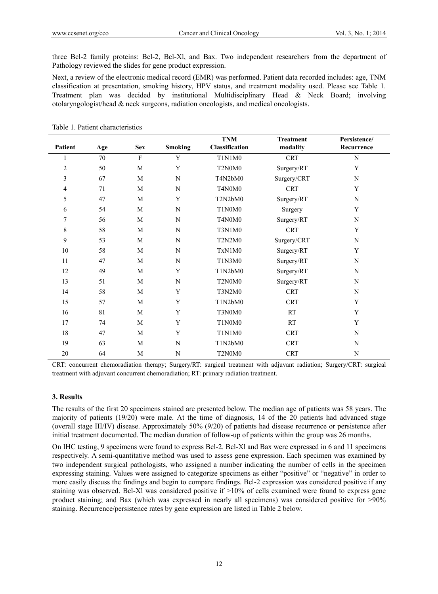three Bcl-2 family proteins: Bcl-2, Bcl-Xl, and Bax. Two independent researchers from the department of Pathology reviewed the slides for gene product expression.

Next, a review of the electronic medical record (EMR) was performed. Patient data recorded includes: age, TNM classification at presentation, smoking history, HPV status, and treatment modality used. Please see Table 1. Treatment plan was decided by institutional Multidisciplinary Head & Neck Board; involving otolaryngologist/head & neck surgeons, radiation oncologists, and medical oncologists.

|         |     |             |                | <b>TNM</b>                 | <b>Treatment</b> | Persistence/ |
|---------|-----|-------------|----------------|----------------------------|------------------|--------------|
| Patient | Age | <b>Sex</b>  | <b>Smoking</b> | Classification<br>modality |                  | Recurrence   |
| 1       | 70  | $\mathbf F$ | Y              | <b>CRT</b><br>T1N1M0       |                  | N            |
| 2       | 50  | M           | Y              | T2N0M0<br>Surgery/RT       |                  | Y            |
| 3       | 67  | M           | N              | T4N2bM0                    | Surgery/CRT      | N            |
| 4       | 71  | M           | ${\bf N}$      | T4N0M0                     | <b>CRT</b>       | $\mathbf Y$  |
| 5       | 47  | M           | Y              | T2N2bM0                    | Surgery/RT       | ${\bf N}$    |
| 6       | 54  | M           | N              | T1N0M0                     | Surgery          |              |
| 7       | 56  | M           | ${\bf N}$      | T4N0M0                     | Surgery/RT       | ${\bf N}$    |
| 8       | 58  | $\mathbf M$ | ${\bf N}$      | T3N1M0                     | <b>CRT</b>       | Y            |
| 9       | 53  | M           | N              | <b>T2N2M0</b>              | Surgery/CRT      | $\mathbf N$  |
| 10      | 58  | M           | N              | TxN1M0                     | Surgery/RT       | Y            |
| 11      | 47  | $\mathbf M$ | ${\bf N}$      | T1N3M0                     | Surgery/RT       | ${\bf N}$    |
| 12      | 49  | M           | Y              | T1N2bM0                    | Surgery/RT       | ${\bf N}$    |
| 13      | 51  | M           | ${\bf N}$      | T2N0M0                     | Surgery/RT       | ${\bf N}$    |
| 14      | 58  | M           | Y              | <b>T3N2M0</b>              | <b>CRT</b>       | ${\bf N}$    |
| 15      | 57  | M           | Y              | T1N2bM0                    | <b>CRT</b>       | Y            |
| 16      | 81  | $\mathbf M$ | Y              | T3N0M0                     | RT               | $\mathbf Y$  |
| 17      | 74  | M           | Y              | T1N0M0                     | RT               | Y            |
| 18      | 47  | M           | Y              | <b>T1N1M0</b>              | <b>CRT</b>       | ${\bf N}$    |
| 19      | 63  | $\mathbf M$ | ${\bf N}$      | T1N2bM0                    | <b>CRT</b>       | ${\bf N}$    |
| 20      | 64  | M           | $\mathbf N$    | T2N0M0                     | <b>CRT</b>       | $\mathbf N$  |

Table 1. Patient characteristics

CRT: concurrent chemoradiation therapy; Surgery/RT: surgical treatment with adjuvant radiation; Surgery/CRT: surgical treatment with adjuvant concurrent chemoradiation; RT: primary radiation treatment.

#### **3. Results**

The results of the first 20 specimens stained are presented below. The median age of patients was 58 years. The majority of patients (19/20) were male. At the time of diagnosis, 14 of the 20 patients had advanced stage (overall stage III/IV) disease. Approximately 50% (9/20) of patients had disease recurrence or persistence after initial treatment documented. The median duration of follow-up of patients within the group was 26 months.

On IHC testing, 9 specimens were found to express Bcl-2. Bcl-Xl and Bax were expressed in 6 and 11 specimens respectively. A semi-quantitative method was used to assess gene expression. Each specimen was examined by two independent surgical pathologists, who assigned a number indicating the number of cells in the specimen expressing staining. Values were assigned to categorize specimens as either "positive" or "negative" in order to more easily discuss the findings and begin to compare findings. Bcl-2 expression was considered positive if any staining was observed. Bcl-Xl was considered positive if >10% of cells examined were found to express gene product staining; and Bax (which was expressed in nearly all specimens) was considered positive for >90% staining. Recurrence/persistence rates by gene expression are listed in Table 2 below.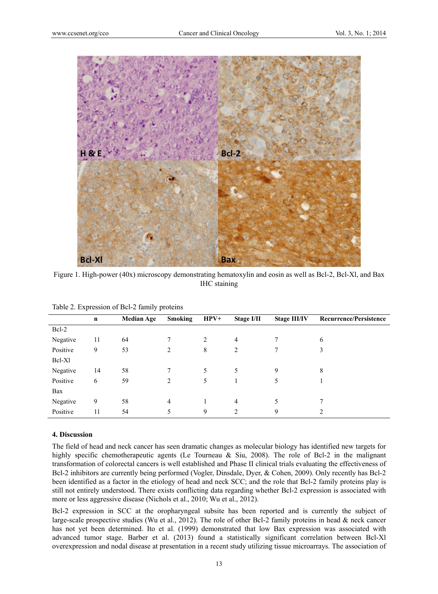

Figure 1. High-power (40x) microscopy demonstrating hematoxylin and eosin as well as Bcl-2, Bcl-Xl, and Bax IHC staining

| $\overline{ }$ |             | ັ້                |                |        |                |                     |                               |
|----------------|-------------|-------------------|----------------|--------|----------------|---------------------|-------------------------------|
|                | $\mathbf n$ | <b>Median Age</b> | <b>Smoking</b> | $HPV+$ | Stage I/II     | <b>Stage III/IV</b> | <b>Recurrence/Persistence</b> |
| Bcl-2          |             |                   |                |        |                |                     |                               |
| Negative       | 11          | 64                |                | 2      | 4              |                     | 6                             |
| Positive       | 9           | 53                | 2              | 8      | 2              |                     | 3                             |
| Bcl-Xl         |             |                   |                |        |                |                     |                               |
| Negative       | 14          | 58                | 7              | 5      | 5              | 9                   | 8                             |
| Positive       | 6           | 59                | 2              | 5      |                | 5                   |                               |
| Bax            |             |                   |                |        |                |                     |                               |
| Negative       | 9           | 58                | 4              |        | 4              | 5                   |                               |
| Positive       | 11          | 54                | 5              | 9      | $\overline{c}$ | 9                   |                               |

Table 2. Expression of Bcl-2 family proteins

## **4. Discussion**

The field of head and neck cancer has seen dramatic changes as molecular biology has identified new targets for highly specific chemotherapeutic agents (Le Tourneau & Siu, 2008). The role of Bcl-2 in the malignant transformation of colorectal cancers is well established and Phase II clinical trials evaluating the effectiveness of Bcl-2 inhibitors are currently being performed (Vogler, Dinsdale, Dyer, & Cohen, 2009). Only recently has Bcl-2 been identified as a factor in the etiology of head and neck SCC; and the role that Bcl-2 family proteins play is still not entirely understood. There exists conflicting data regarding whether Bcl-2 expression is associated with more or less aggressive disease (Nichols et al., 2010; Wu et al., 2012).

Bcl-2 expression in SCC at the oropharyngeal subsite has been reported and is currently the subject of large-scale prospective studies (Wu et al., 2012). The role of other Bcl-2 family proteins in head & neck cancer has not yet been determined. Ito et al. (1999) demonstrated that low Bax expression was associated with advanced tumor stage. Barber et al. (2013) found a statistically significant correlation between Bcl-Xl overexpression and nodal disease at presentation in a recent study utilizing tissue microarrays. The association of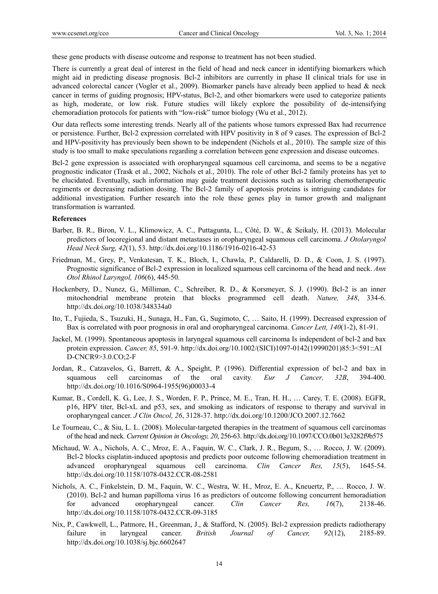these gene products with disease outcome and response to treatment has not been studied.

There is currently a great deal of interest in the field of head and neck cancer in identifying biomarkers which might aid in predicting disease prognosis. Bcl-2 inhibitors are currently in phase II clinical trials for use in advanced colorectal cancer (Vogler et al., 2009). Biomarker panels have already been applied to head & neck cancer in terms of guiding prognosis; HPV-status, Bcl-2, and other biomarkers were used to categorize patients as high, moderate, or low risk. Future studies will likely explore the possibility of de-intensifying chemoradiation protocols for patients with "low-risk" tumor biology (Wu et al., 2012).

Our data reflects some interesting trends. Nearly all of the patients whose tumors expressed Bax had recurrence or persistence. Further, Bcl-2 expression correlated with HPV positivity in 8 of 9 cases. The expression of Bcl-2 and HPV-positivity has previously been shown to be independent (Nichols et al., 2010). The sample size of this study is too small to make speculations regarding a correlation between gene expression and disease outcomes.

Bcl-2 gene expression is associated with oropharyngeal squamous cell carcinoma, and seems to be a negative prognostic indicator (Trask et al., 2002, Nichols et al., 2010). The role of other Bcl-2 family proteins has yet to be elucidated. Eventually, such information may guide treatment decisions such as tailoring chemotherapeutic regiments or decreasing radiation dosing. The Bcl-2 family of apoptosis proteins is intriguing candidates for additional investigation. Further research into the role these genes play in tumor growth and malignant transformation is warranted.

#### **References**

- Barber, B. R., Biron, V. L., Klimowicz, A. C., Puttagunta, L., Côté, D. W., & Seikaly, H. (2013). Molecular predictors of locoregional and distant metastases in oropharyngeal squamous cell carcinoma. *J Otolaryngol Head Neck Surg, 42*(1), 53. http://dx.doi.org/10.1186/1916-0216-42-53
- Friedman, M., Grey, P., Venkatesan, T. K., Bloch, I., Chawla, P., Caldarelli, D. D., & Coon, J. S. (1997). Prognostic significance of Bcl-2 expression in localized squamous cell carcinoma of the head and neck. *Ann Otol Rhinol Laryngol, 106*(6), 445-50.
- Hockenbery, D., Nunez, G., Milliman, C., Schreiber, R. D., & Korsmeyer, S. J. (1990). Bcl-2 is an inner mitochondrial membrane protein that blocks programmed cell death. *Nature, 348*, 334-6. http://dx.doi.org/10.1038/348334a0
- Ito, T., Fujieda, S., Tsuzuki, H., Sunaga, H., Fan, G., Sugimoto, C, … Saito, H. (1999). Decreased expression of Bax is correlated with poor prognosis in oral and oropharyngeal carcinoma. *Cancer Lett, 140*(1-2), 81-91.
- Jackel, M. (1999). Spontaneous apoptosis in laryngeal squamous cell carcinoma Is independent of bcl-2 and bax protein expression. *Cancer, 85*, 591-9. http://dx.doi.org/10.1002/(SICI)1097-0142(19990201)85:3<591::AI D-CNCR9>3.0.CO;2-F
- Jordan, R., Catzavelos, G., Barrett, & A., Speight, P. (1996). Differential expression of bcl-2 and bax in squamous cell carcinomas of the oral cavity*. Eur J Cancer, 32B*, 394-400. http://dx.doi.org/10.1016/S0964-1955(96)00033-4
- Kumar, B., Cordell, K. G., Lee, J. S., Worden, F. P., Prince, M. E., Tran, H. H., … Carey, T. E. (2008). EGFR, p16, HPV titer, Bcl-xL and p53, sex, and smoking as indicators of response to therapy and survival in oropharyngeal cancer. *J Clin Oncol, 26*, 3128-37. http://dx.doi.org/10.1200/JCO.2007.12.7662
- Le Tourneau, C., & Siu, L. L. (2008). Molecular-targeted therapies in the treatment of squamous cell carcinomas of the head and neck*. Current Opinion in Oncology, 20*, 256-63. http://dx.doi.org/10.1097/CCO.0b013e3282f9b575
- Michaud, W. A., Nichols, A. C., Mroz, E. A., Faquin, W. C., Clark, J. R., Begum, S., … Rocco, J. W. (2009). Bcl-2 blocks cisplatin-induced apoptosis and predicts poor outcome following chemoradiation treatment in advanced oropharyngeal squamous cell carcinoma. *Clin Cancer Res, 15*(5), 1645-54. http://dx.doi.org/10.1158/1078-0432.CCR-08-2581
- Nichols, A. C., Finkelstein, D. M., Faquin, W. C., Westra, W. H., Mroz, E. A., Kneuertz, P., … Rocco, J. W. (2010). Bcl-2 and human papilloma virus 16 as predictors of outcome following concurrent hemoradiation for advanced oropharyngeal cancer*. Clin Cancer Res, 16*(7), 2138-46. http://dx.doi.org/10.1158/1078-0432.CCR-09-3185
- Nix, P., Cawkwell, L., Patmore, H., Greenman, J., & Stafford, N. (2005). Bcl-2 expression predicts radiotherapy failure in laryngeal cancer. *British Journal of Cancer, 92*(12), 2185-89. http://dx.doi.org/10.1038/sj.bjc.6602647